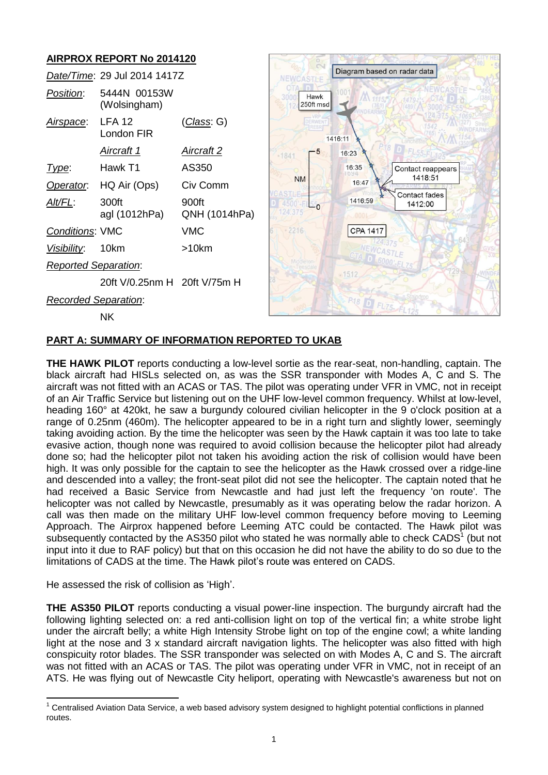# **AIRPROX REPORT No 2014120**

|                             | Date/Time: 29 Jul 2014 1417Z |                        |  |
|-----------------------------|------------------------------|------------------------|--|
| Position:                   | 5444N 00153W<br>(Wolsingham) |                        |  |
| <u>Airspace:</u>            | <b>IFA 12</b><br>I ondon FIR | <u>(Class</u> : G)     |  |
|                             | Aircraft 1                   | Aircraft 2             |  |
| l ype:                      | Hawk T1                      | AS350                  |  |
| Operator.                   | HQ Air (Ops)                 | Civ Comm               |  |
| Alt/FL:                     | 300ft<br>agl (1012hPa)       | 900ft<br>QNH (1014hPa) |  |
| <b>Conditions: VMC</b>      |                              | VMC                    |  |
| <i>Visibility</i> : 10km    |                              | >10km                  |  |
| <b>Reported Separation:</b> |                              |                        |  |
|                             | 20ft V/0.25nm H 20ft V/75m H |                        |  |
| Recorded Separation:        |                              |                        |  |

NK



# **PART A: SUMMARY OF INFORMATION REPORTED TO UKAB**

**THE HAWK PILOT** reports conducting a low-level sortie as the rear-seat, non-handling, captain. The black aircraft had HISLs selected on, as was the SSR transponder with Modes A, C and S. The aircraft was not fitted with an ACAS or TAS. The pilot was operating under VFR in VMC, not in receipt of an Air Traffic Service but listening out on the UHF low-level common frequency. Whilst at low-level, heading 160° at 420kt, he saw a burgundy coloured civilian helicopter in the 9 o'clock position at a range of 0.25nm (460m). The helicopter appeared to be in a right turn and slightly lower, seemingly taking avoiding action. By the time the helicopter was seen by the Hawk captain it was too late to take evasive action, though none was required to avoid collision because the helicopter pilot had already done so; had the helicopter pilot not taken his avoiding action the risk of collision would have been high. It was only possible for the captain to see the helicopter as the Hawk crossed over a ridge-line and descended into a valley; the front-seat pilot did not see the helicopter. The captain noted that he had received a Basic Service from Newcastle and had just left the frequency 'on route'. The helicopter was not called by Newcastle, presumably as it was operating below the radar horizon. A call was then made on the military UHF low-level common frequency before moving to Leeming Approach. The Airprox happened before Leeming ATC could be contacted. The Hawk pilot was subsequently contacted by the AS350 pilot who stated he was normally able to check CADS $^1$  (but not input into it due to RAF policy) but that on this occasion he did not have the ability to do so due to the limitations of CADS at the time. The Hawk pilot's route was entered on CADS.

He assessed the risk of collision as 'High'.

**THE AS350 PILOT** reports conducting a visual power-line inspection. The burgundy aircraft had the following lighting selected on: a red anti-collision light on top of the vertical fin; a white strobe light under the aircraft belly; a white High Intensity Strobe light on top of the engine cowl; a white landing light at the nose and 3 x standard aircraft navigation lights. The helicopter was also fitted with high conspicuity rotor blades. The SSR transponder was selected on with Modes A, C and S. The aircraft was not fitted with an ACAS or TAS. The pilot was operating under VFR in VMC, not in receipt of an ATS. He was flying out of Newcastle City heliport, operating with Newcastle's awareness but not on

 $\overline{\phantom{a}}$  $1$  Centralised Aviation Data Service, a web based advisory system designed to highlight potential conflictions in planned routes.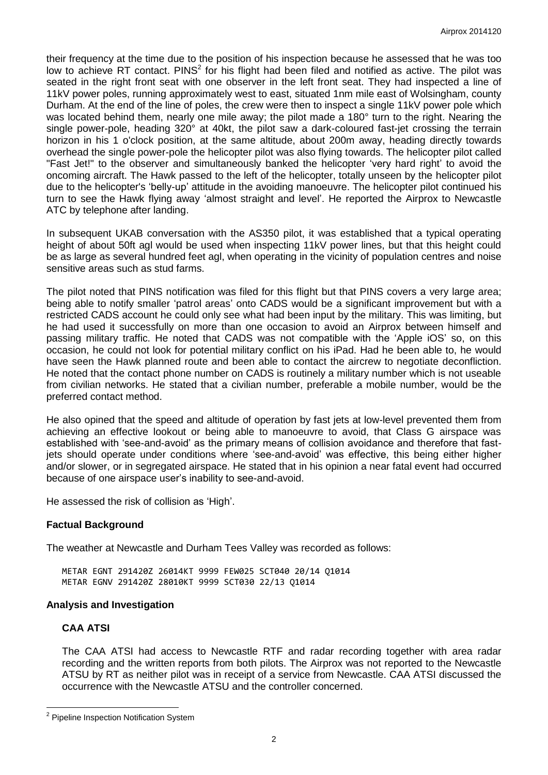their frequency at the time due to the position of his inspection because he assessed that he was too low to achieve RT contact. PINS<sup>2</sup> for his flight had been filed and notified as active. The pilot was seated in the right front seat with one observer in the left front seat. They had inspected a line of 11kV power poles, running approximately west to east, situated 1nm mile east of Wolsingham, county Durham. At the end of the line of poles, the crew were then to inspect a single 11kV power pole which was located behind them, nearly one mile away; the pilot made a 180° turn to the right. Nearing the single power-pole, heading 320° at 40kt, the pilot saw a dark-coloured fast-jet crossing the terrain horizon in his 1 o'clock position, at the same altitude, about 200m away, heading directly towards overhead the single power-pole the helicopter pilot was also flying towards. The helicopter pilot called "Fast Jet!" to the observer and simultaneously banked the helicopter 'very hard right' to avoid the oncoming aircraft. The Hawk passed to the left of the helicopter, totally unseen by the helicopter pilot due to the helicopter's 'belly-up' attitude in the avoiding manoeuvre. The helicopter pilot continued his turn to see the Hawk flying away 'almost straight and level'. He reported the Airprox to Newcastle ATC by telephone after landing.

In subsequent UKAB conversation with the AS350 pilot, it was established that a typical operating height of about 50ft agl would be used when inspecting 11kV power lines, but that this height could be as large as several hundred feet agl, when operating in the vicinity of population centres and noise sensitive areas such as stud farms.

The pilot noted that PINS notification was filed for this flight but that PINS covers a very large area; being able to notify smaller 'patrol areas' onto CADS would be a significant improvement but with a restricted CADS account he could only see what had been input by the military. This was limiting, but he had used it successfully on more than one occasion to avoid an Airprox between himself and passing military traffic. He noted that CADS was not compatible with the 'Apple iOS' so, on this occasion, he could not look for potential military conflict on his iPad. Had he been able to, he would have seen the Hawk planned route and been able to contact the aircrew to negotiate deconfliction. He noted that the contact phone number on CADS is routinely a military number which is not useable from civilian networks. He stated that a civilian number, preferable a mobile number, would be the preferred contact method.

He also opined that the speed and altitude of operation by fast jets at low-level prevented them from achieving an effective lookout or being able to manoeuvre to avoid, that Class G airspace was established with 'see-and-avoid' as the primary means of collision avoidance and therefore that fastjets should operate under conditions where 'see-and-avoid' was effective, this being either higher and/or slower, or in segregated airspace. He stated that in his opinion a near fatal event had occurred because of one airspace user's inability to see-and-avoid.

He assessed the risk of collision as 'High'.

# **Factual Background**

The weather at Newcastle and Durham Tees Valley was recorded as follows:

METAR EGNT 291420Z 26014KT 9999 FEW025 SCT040 20/14 Q1014 METAR EGNV 291420Z 28010KT 9999 SCT030 22/13 Q1014

#### **Analysis and Investigation**

# **CAA ATSI**

 $\overline{a}$ 

The CAA ATSI had access to Newcastle RTF and radar recording together with area radar recording and the written reports from both pilots. The Airprox was not reported to the Newcastle ATSU by RT as neither pilot was in receipt of a service from Newcastle. CAA ATSI discussed the occurrence with the Newcastle ATSU and the controller concerned.

<sup>&</sup>lt;sup>2</sup> Pipeline Inspection Notification System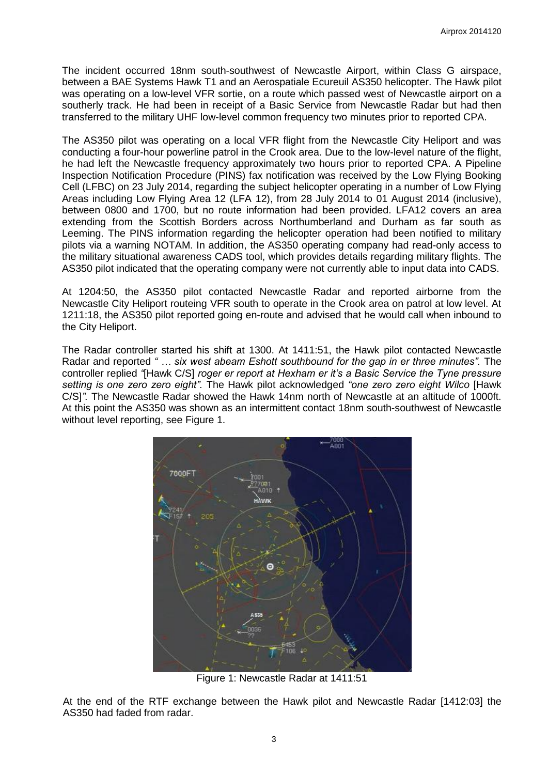The incident occurred 18nm south-southwest of Newcastle Airport, within Class G airspace, between a BAE Systems Hawk T1 and an Aerospatiale Ecureuil AS350 helicopter. The Hawk pilot was operating on a low-level VFR sortie, on a route which passed west of Newcastle airport on a southerly track. He had been in receipt of a Basic Service from Newcastle Radar but had then transferred to the military UHF low-level common frequency two minutes prior to reported CPA.

The AS350 pilot was operating on a local VFR flight from the Newcastle City Heliport and was conducting a four-hour powerline patrol in the Crook area. Due to the low-level nature of the flight, he had left the Newcastle frequency approximately two hours prior to reported CPA. A Pipeline Inspection Notification Procedure (PINS) fax notification was received by the Low Flying Booking Cell (LFBC) on 23 July 2014, regarding the subject helicopter operating in a number of Low Flying Areas including Low Flying Area 12 (LFA 12), from 28 July 2014 to 01 August 2014 (inclusive), between 0800 and 1700, but no route information had been provided. LFA12 covers an area extending from the Scottish Borders across Northumberland and Durham as far south as Leeming. The PINS information regarding the helicopter operation had been notified to military pilots via a warning NOTAM. In addition, the AS350 operating company had read-only access to the military situational awareness CADS tool, which provides details regarding military flights. The AS350 pilot indicated that the operating company were not currently able to input data into CADS.

At 1204:50, the AS350 pilot contacted Newcastle Radar and reported airborne from the Newcastle City Heliport routeing VFR south to operate in the Crook area on patrol at low level. At 1211:18, the AS350 pilot reported going en-route and advised that he would call when inbound to the City Heliport.

The Radar controller started his shift at 1300. At 1411:51, the Hawk pilot contacted Newcastle Radar and reported *" … six west abeam Eshott southbound for the gap in er three minutes".* The controller replied *"*[Hawk C/S] *roger er report at Hexham er it's a Basic Service the Tyne pressure setting is one zero zero eight".* The Hawk pilot acknowledged *"one zero zero eight Wilco* [Hawk C/S]*".* The Newcastle Radar showed the Hawk 14nm north of Newcastle at an altitude of 1000ft. At this point the AS350 was shown as an intermittent contact 18nm south-southwest of Newcastle without level reporting, see Figure 1.



Figure 1: Newcastle Radar at 1411:51

At the end of the RTF exchange between the Hawk pilot and Newcastle Radar [1412:03] the AS350 had faded from radar.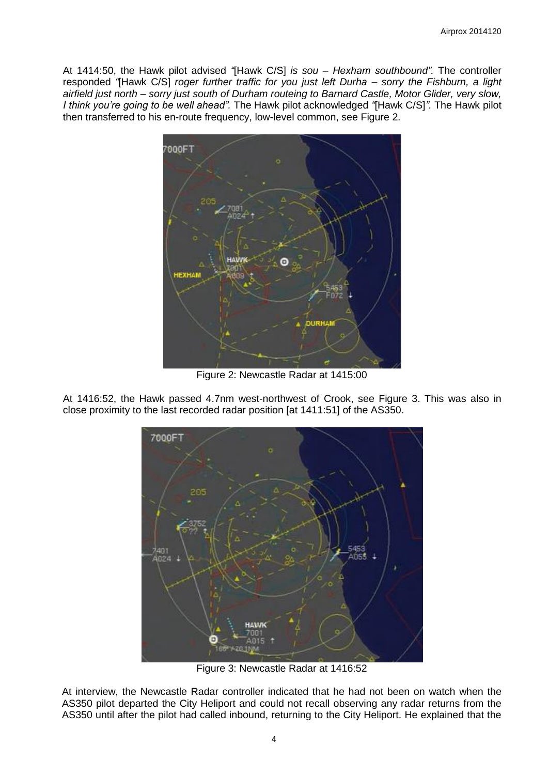At 1414:50, the Hawk pilot advised *"*[Hawk C/S] *is sou – Hexham southbound".* The controller responded *"*[Hawk C/S] *roger further traffic for you just left Durha – sorry the Fishburn, a light airfield just north – sorry just south of Durham routeing to Barnard Castle, Motor Glider, very slow, I think you're going to be well ahead".* The Hawk pilot acknowledged *"*[Hawk C/S]*".* The Hawk pilot then transferred to his en-route frequency, low-level common, see Figure 2.



Figure 2: Newcastle Radar at 1415:00

At 1416:52, the Hawk passed 4.7nm west-northwest of Crook, see Figure 3. This was also in close proximity to the last recorded radar position [at 1411:51] of the AS350.



Figure 3: Newcastle Radar at 1416:52

At interview, the Newcastle Radar controller indicated that he had not been on watch when the AS350 pilot departed the City Heliport and could not recall observing any radar returns from the AS350 until after the pilot had called inbound, returning to the City Heliport. He explained that the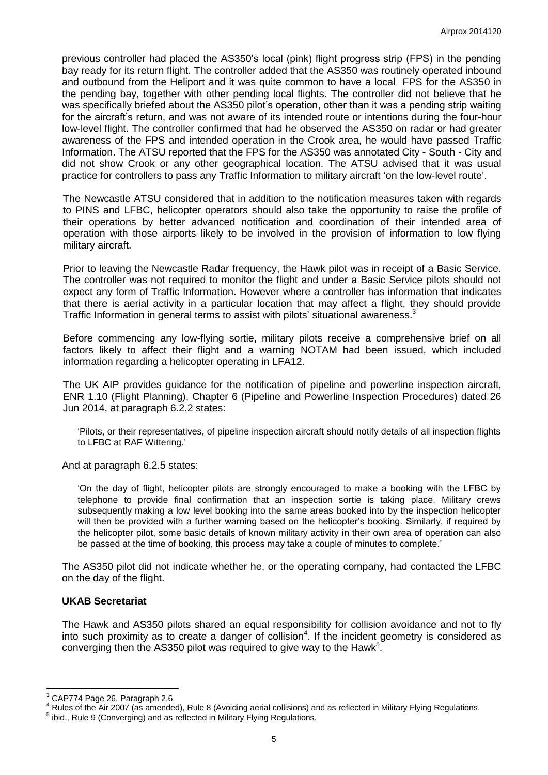previous controller had placed the AS350's local (pink) flight progress strip (FPS) in the pending bay ready for its return flight. The controller added that the AS350 was routinely operated inbound and outbound from the Heliport and it was quite common to have a local FPS for the AS350 in the pending bay, together with other pending local flights. The controller did not believe that he was specifically briefed about the AS350 pilot's operation, other than it was a pending strip waiting for the aircraft's return, and was not aware of its intended route or intentions during the four-hour low-level flight. The controller confirmed that had he observed the AS350 on radar or had greater awareness of the FPS and intended operation in the Crook area, he would have passed Traffic Information. The ATSU reported that the FPS for the AS350 was annotated City - South - City and did not show Crook or any other geographical location. The ATSU advised that it was usual practice for controllers to pass any Traffic Information to military aircraft 'on the low-level route'.

The Newcastle ATSU considered that in addition to the notification measures taken with regards to PINS and LFBC, helicopter operators should also take the opportunity to raise the profile of their operations by better advanced notification and coordination of their intended area of operation with those airports likely to be involved in the provision of information to low flying military aircraft.

Prior to leaving the Newcastle Radar frequency, the Hawk pilot was in receipt of a Basic Service. The controller was not required to monitor the flight and under a Basic Service pilots should not expect any form of Traffic Information. However where a controller has information that indicates that there is aerial activity in a particular location that may affect a flight, they should provide Traffic Information in general terms to assist with pilots' situational awareness.<sup>3</sup>

Before commencing any low-flying sortie, military pilots receive a comprehensive brief on all factors likely to affect their flight and a warning NOTAM had been issued, which included information regarding a helicopter operating in LFA12.

The UK AIP provides guidance for the notification of pipeline and powerline inspection aircraft, ENR 1.10 (Flight Planning), Chapter 6 (Pipeline and Powerline Inspection Procedures) dated 26 Jun 2014, at paragraph 6.2.2 states:

'Pilots, or their representatives, of pipeline inspection aircraft should notify details of all inspection flights to LFBC at RAF Wittering.'

And at paragraph 6.2.5 states:

'On the day of flight, helicopter pilots are strongly encouraged to make a booking with the LFBC by telephone to provide final confirmation that an inspection sortie is taking place. Military crews subsequently making a low level booking into the same areas booked into by the inspection helicopter will then be provided with a further warning based on the helicopter's booking. Similarly, if required by the helicopter pilot, some basic details of known military activity in their own area of operation can also be passed at the time of booking, this process may take a couple of minutes to complete.'

The AS350 pilot did not indicate whether he, or the operating company, had contacted the LFBC on the day of the flight.

#### **UKAB Secretariat**

The Hawk and AS350 pilots shared an equal responsibility for collision avoidance and not to fly into such proximity as to create a danger of collision<sup>4</sup>. If the incident geometry is considered as converging then the AS350 pilot was required to give way to the Hawk<sup>5</sup>.

 $\overline{a}$ 

 $^3$  CAP774 Page 26, Paragraph 2.6

<sup>4</sup> Rules of the Air 2007 (as amended), Rule 8 (Avoiding aerial collisions) and as reflected in Military Flying Regulations.

<sup>&</sup>lt;sup>5</sup> ibid., Rule 9 (Converging) and as reflected in Military Flying Regulations.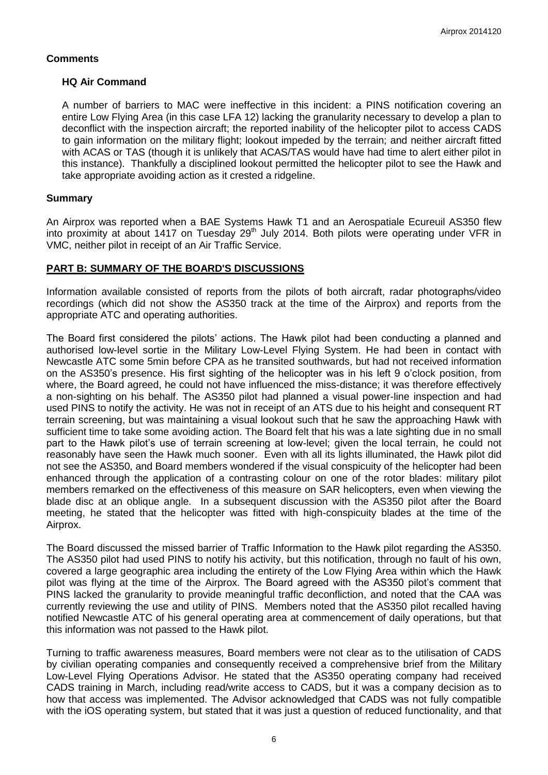# **Comments**

### **HQ Air Command**

A number of barriers to MAC were ineffective in this incident: a PINS notification covering an entire Low Flying Area (in this case LFA 12) lacking the granularity necessary to develop a plan to deconflict with the inspection aircraft; the reported inability of the helicopter pilot to access CADS to gain information on the military flight; lookout impeded by the terrain; and neither aircraft fitted with ACAS or TAS (though it is unlikely that ACAS/TAS would have had time to alert either pilot in this instance). Thankfully a disciplined lookout permitted the helicopter pilot to see the Hawk and take appropriate avoiding action as it crested a ridgeline.

### **Summary**

An Airprox was reported when a BAE Systems Hawk T1 and an Aerospatiale Ecureuil AS350 flew into proximity at about 1417 on Tuesday 29<sup>th</sup> July 2014. Both pilots were operating under VFR in VMC, neither pilot in receipt of an Air Traffic Service.

### **PART B: SUMMARY OF THE BOARD'S DISCUSSIONS**

Information available consisted of reports from the pilots of both aircraft, radar photographs/video recordings (which did not show the AS350 track at the time of the Airprox) and reports from the appropriate ATC and operating authorities.

The Board first considered the pilots' actions. The Hawk pilot had been conducting a planned and authorised low-level sortie in the Military Low-Level Flying System. He had been in contact with Newcastle ATC some 5min before CPA as he transited southwards, but had not received information on the AS350's presence. His first sighting of the helicopter was in his left 9 o'clock position, from where, the Board agreed, he could not have influenced the miss-distance; it was therefore effectively a non-sighting on his behalf. The AS350 pilot had planned a visual power-line inspection and had used PINS to notify the activity. He was not in receipt of an ATS due to his height and consequent RT terrain screening, but was maintaining a visual lookout such that he saw the approaching Hawk with sufficient time to take some avoiding action. The Board felt that his was a late sighting due in no small part to the Hawk pilot's use of terrain screening at low-level; given the local terrain, he could not reasonably have seen the Hawk much sooner. Even with all its lights illuminated, the Hawk pilot did not see the AS350, and Board members wondered if the visual conspicuity of the helicopter had been enhanced through the application of a contrasting colour on one of the rotor blades: military pilot members remarked on the effectiveness of this measure on SAR helicopters, even when viewing the blade disc at an oblique angle. In a subsequent discussion with the AS350 pilot after the Board meeting, he stated that the helicopter was fitted with high-conspicuity blades at the time of the Airprox.

The Board discussed the missed barrier of Traffic Information to the Hawk pilot regarding the AS350. The AS350 pilot had used PINS to notify his activity, but this notification, through no fault of his own, covered a large geographic area including the entirety of the Low Flying Area within which the Hawk pilot was flying at the time of the Airprox. The Board agreed with the AS350 pilot's comment that PINS lacked the granularity to provide meaningful traffic deconfliction, and noted that the CAA was currently reviewing the use and utility of PINS. Members noted that the AS350 pilot recalled having notified Newcastle ATC of his general operating area at commencement of daily operations, but that this information was not passed to the Hawk pilot.

Turning to traffic awareness measures, Board members were not clear as to the utilisation of CADS by civilian operating companies and consequently received a comprehensive brief from the Military Low-Level Flying Operations Advisor. He stated that the AS350 operating company had received CADS training in March, including read/write access to CADS, but it was a company decision as to how that access was implemented. The Advisor acknowledged that CADS was not fully compatible with the iOS operating system, but stated that it was just a question of reduced functionality, and that